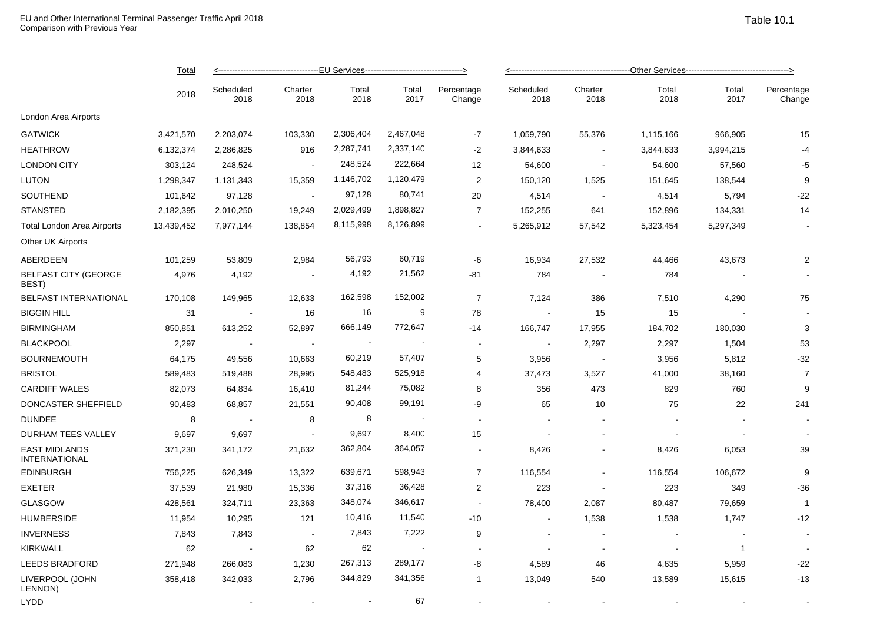|                                              | Total<br>2018 |                   |                 |               |                          |                         |                   |                          |               |               |                      |  |
|----------------------------------------------|---------------|-------------------|-----------------|---------------|--------------------------|-------------------------|-------------------|--------------------------|---------------|---------------|----------------------|--|
|                                              |               | Scheduled<br>2018 | Charter<br>2018 | Total<br>2018 | Total<br>2017            | Percentage<br>Change    | Scheduled<br>2018 | Charter<br>2018          | Total<br>2018 | Total<br>2017 | Percentage<br>Change |  |
| London Area Airports                         |               |                   |                 |               |                          |                         |                   |                          |               |               |                      |  |
| <b>GATWICK</b>                               | 3,421,570     | 2,203,074         | 103,330         | 2,306,404     | 2,467,048                | $-7$                    | 1,059,790         | 55,376                   | 1,115,166     | 966,905       | 15                   |  |
| <b>HEATHROW</b>                              | 6,132,374     | 2,286,825         | 916             | 2,287,741     | 2,337,140                | $-2$                    | 3,844,633         |                          | 3,844,633     | 3,994,215     | $-4$                 |  |
| <b>LONDON CITY</b>                           | 303,124       | 248,524           |                 | 248,524       | 222,664                  | 12                      | 54,600            | $\overline{\phantom{a}}$ | 54,600        | 57,560        | $-5$                 |  |
| LUTON                                        | 1,298,347     | 1,131,343         | 15,359          | 1,146,702     | 1,120,479                | $\overline{2}$          | 150,120           | 1,525                    | 151,645       | 138,544       | 9                    |  |
| SOUTHEND                                     | 101,642       | 97,128            | $\sim$          | 97,128        | 80,741                   | 20                      | 4,514             | $\overline{\phantom{a}}$ | 4,514         | 5,794         | $-22$                |  |
| <b>STANSTED</b>                              | 2,182,395     | 2,010,250         | 19,249          | 2,029,499     | 1,898,827                | $\overline{7}$          | 152,255           | 641                      | 152,896       | 134,331       | 14                   |  |
| <b>Total London Area Airports</b>            | 13,439,452    | 7,977,144         | 138,854         | 8,115,998     | 8,126,899                | $\blacksquare$          | 5,265,912         | 57,542                   | 5,323,454     | 5,297,349     |                      |  |
| Other UK Airports                            |               |                   |                 |               |                          |                         |                   |                          |               |               |                      |  |
| ABERDEEN                                     | 101,259       | 53,809            | 2,984           | 56,793        | 60,719                   | -6                      | 16,934            | 27,532                   | 44,466        | 43,673        | $\mathbf 2$          |  |
| <b>BELFAST CITY (GEORGE</b><br>BEST)         | 4,976         | 4,192             | $\sim$          | 4,192         | 21,562                   | $-81$                   | 784               |                          | 784           |               |                      |  |
| BELFAST INTERNATIONAL                        | 170,108       | 149,965           | 12,633          | 162,598       | 152,002                  | $\overline{7}$          | 7,124             | 386                      | 7,510         | 4,290         | 75                   |  |
| <b>BIGGIN HILL</b>                           | 31            |                   | 16              | 16            | 9                        | 78                      |                   | 15                       | 15            |               |                      |  |
| <b>BIRMINGHAM</b>                            | 850,851       | 613,252           | 52,897          | 666,149       | 772,647                  | -14                     | 166,747           | 17,955                   | 184,702       | 180,030       | 3                    |  |
| <b>BLACKPOOL</b>                             | 2,297         |                   | $\sim$          |               |                          |                         |                   | 2,297                    | 2,297         | 1,504         | 53                   |  |
| <b>BOURNEMOUTH</b>                           | 64,175        | 49,556            | 10,663          | 60,219        | 57,407                   | 5                       | 3,956             | $\overline{\phantom{a}}$ | 3,956         | 5,812         | $-32$                |  |
| <b>BRISTOL</b>                               | 589,483       | 519,488           | 28,995          | 548,483       | 525,918                  | 4                       | 37,473            | 3,527                    | 41,000        | 38,160        | $\overline{7}$       |  |
| <b>CARDIFF WALES</b>                         | 82,073        | 64,834            | 16,410          | 81,244        | 75,082                   | 8                       | 356               | 473                      | 829           | 760           | 9                    |  |
| DONCASTER SHEFFIELD                          | 90,483        | 68,857            | 21,551          | 90,408        | 99,191                   | -9                      | 65                | 10                       | 75            | 22            | 241                  |  |
| <b>DUNDEE</b>                                | 8             |                   | 8               | 8             | $\overline{\phantom{a}}$ |                         |                   |                          |               |               |                      |  |
| DURHAM TEES VALLEY                           | 9,697         | 9,697             | $\sim$          | 9,697         | 8,400                    | 15                      |                   |                          |               |               |                      |  |
| <b>EAST MIDLANDS</b><br><b>INTERNATIONAL</b> | 371,230       | 341,172           | 21,632          | 362,804       | 364,057                  |                         | 8,426             |                          | 8,426         | 6,053         | 39                   |  |
| <b>EDINBURGH</b>                             | 756,225       | 626,349           | 13,322          | 639,671       | 598,943                  | $\overline{7}$          | 116,554           | $\blacksquare$           | 116,554       | 106,672       | 9                    |  |
| <b>EXETER</b>                                | 37,539        | 21,980            | 15,336          | 37,316        | 36,428                   | $\overline{\mathbf{c}}$ | 223               | $\blacksquare$           | 223           | 349           | $-36$                |  |
| <b>GLASGOW</b>                               | 428,561       | 324,711           | 23,363          | 348,074       | 346,617                  | $\sim$                  | 78,400            | 2,087                    | 80,487        | 79,659        | $\overline{1}$       |  |
| <b>HUMBERSIDE</b>                            | 11,954        | 10,295            | 121             | 10,416        | 11,540                   | $-10$                   |                   | 1,538                    | 1,538         | 1,747         | $-12$                |  |
| <b>INVERNESS</b>                             | 7,843         | 7,843             | $\sim$          | 7,843         | 7,222                    | 9                       |                   | $\blacksquare$           |               |               |                      |  |
| <b>KIRKWALL</b>                              | 62            |                   | 62              | 62            |                          |                         |                   | $\blacksquare$           |               | 1             |                      |  |
| <b>LEEDS BRADFORD</b>                        | 271,948       | 266,083           | 1,230           | 267,313       | 289,177                  | -8                      | 4,589             | 46                       | 4,635         | 5,959         | $-22$                |  |
| LIVERPOOL (JOHN<br>LENNON)                   | 358,418       | 342,033           | 2,796           | 344,829       | 341,356                  | $\overline{1}$          | 13,049            | 540                      | 13,589        | 15,615        | $-13$                |  |

 $\Box$  -  $\Box$  -  $\Box$  -  $\Box$  -  $\Box$  -  $\Box$  -  $\Box$  -  $\Box$  -  $\Box$  -  $\Box$  -  $\Box$  -  $\Box$  -  $\Box$  -  $\Box$  -  $\Box$  -  $\Box$  -  $\Box$  -  $\Box$  -  $\Box$  -  $\Box$  -  $\Box$  -  $\Box$  -  $\Box$  -  $\Box$  -  $\Box$  -  $\Box$  -  $\Box$  -  $\Box$  -  $\Box$  -  $\Box$  -  $\Box$  -  $\Box$